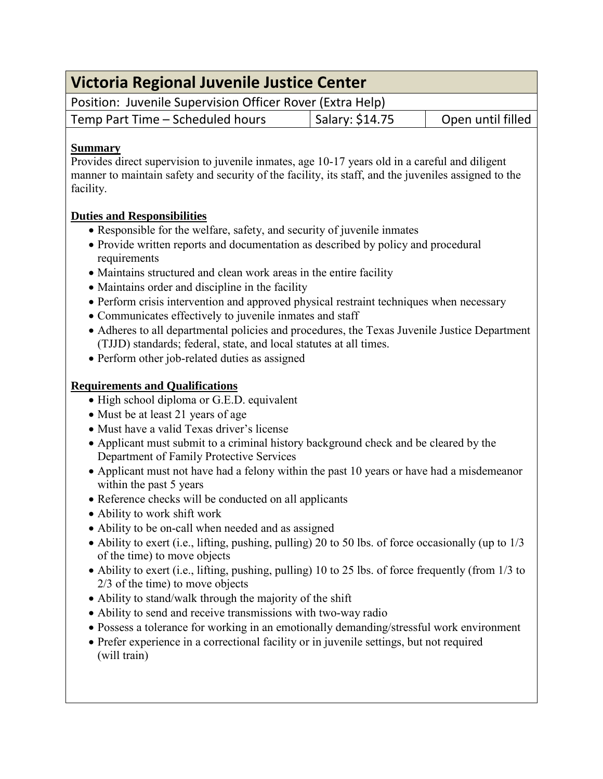| Victoria Regional Juvenile Justice Center                                                                                                                                                                                                                                                                                                                                                                                                                                                                                                                                                                                                                                                                                    |                 |                   |
|------------------------------------------------------------------------------------------------------------------------------------------------------------------------------------------------------------------------------------------------------------------------------------------------------------------------------------------------------------------------------------------------------------------------------------------------------------------------------------------------------------------------------------------------------------------------------------------------------------------------------------------------------------------------------------------------------------------------------|-----------------|-------------------|
| Position: Juvenile Supervision Officer Rover (Extra Help)                                                                                                                                                                                                                                                                                                                                                                                                                                                                                                                                                                                                                                                                    |                 |                   |
| Temp Part Time - Scheduled hours                                                                                                                                                                                                                                                                                                                                                                                                                                                                                                                                                                                                                                                                                             | Salary: \$14.75 | Open until filled |
| <b>Summary</b><br>Provides direct supervision to juvenile inmates, age 10-17 years old in a careful and diligent<br>manner to maintain safety and security of the facility, its staff, and the juveniles assigned to the<br>facility.                                                                                                                                                                                                                                                                                                                                                                                                                                                                                        |                 |                   |
| <b>Duties and Responsibilities</b><br>• Responsible for the welfare, safety, and security of juvenile inmates<br>• Provide written reports and documentation as described by policy and procedural<br>requirements<br>• Maintains structured and clean work areas in the entire facility<br>• Maintains order and discipline in the facility<br>• Perform crisis intervention and approved physical restraint techniques when necessary<br>• Communicates effectively to juvenile inmates and staff<br>• Adheres to all departmental policies and procedures, the Texas Juvenile Justice Department<br>(TJJD) standards; federal, state, and local statutes at all times.<br>• Perform other job-related duties as assigned  |                 |                   |
| <b>Requirements and Qualifications</b><br>• High school diploma or G.E.D. equivalent<br>• Must be at least 21 years of age<br>• Must have a valid Texas driver's license<br>• Applicant must submit to a criminal history background check and be cleared by the<br>Department of Family Protective Services<br>• Applicant must not have had a felony within the past 10 years or have had a misdemeanor<br>within the past 5 years<br>• Reference checks will be conducted on all applicants<br>• Ability to work shift work<br>• Ability to be on-call when needed and as assigned<br>• Ability to exert (i.e., lifting, pushing, pulling) 20 to 50 lbs. of force occasionally (up to 1/3<br>of the time) to move objects |                 |                   |

- Ability to exert (i.e., lifting, pushing, pulling) 10 to 25 lbs. of force frequently (from 1/3 to 2/3 of the time) to move objects
- Ability to stand/walk through the majority of the shift
- Ability to send and receive transmissions with two-way radio
- Possess a tolerance for working in an emotionally demanding/stressful work environment
- Prefer experience in a correctional facility or in juvenile settings, but not required (will train)